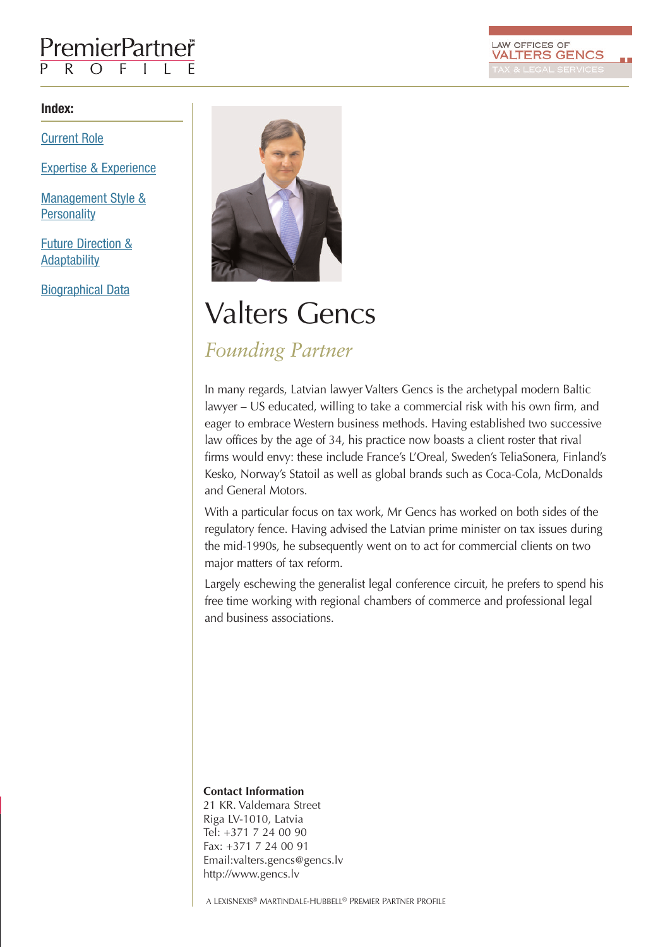#### PremierPartner F  $\mathsf{R}$  $\bigcirc$ L

# **Index:**

[Current Role](#page-1-0)

[Expertise & Experience](#page-1-0)

[Management Style &](#page-2-0) **Personality** 

[Future Direction &](#page-2-0) **Adaptability** 

[Biographical Data](#page-3-0)



# Valters Gencs

*Founding Partner*

In many regards, Latvian lawyer Valters Gencs is the archetypal modern Baltic lawyer – US educated, willing to take a commercial risk with his own firm, and eager to embrace Western business methods. Having established two successive law offices by the age of 34, his practice now boasts a client roster that rival firms would envy: these include France's L'Oreal, Sweden's TeliaSonera, Finland's Kesko, Norway's Statoil as well as global brands such as Coca-Cola, McDonalds and General Motors.

LAW OFFICES OF **VALTERS GENCS** 

With a particular focus on tax work, Mr Gencs has worked on both sides of the regulatory fence. Having advised the Latvian prime minister on tax issues during the mid-1990s, he subsequently went on to act for commercial clients on two major matters of tax reform.

Largely eschewing the generalist legal conference circuit, he prefers to spend his free time working with regional chambers of commerce and professional legal and business associations.

## **Contact Information**

21 KR. Valdemara Street Riga LV-1010, Latvia Tel: +371 7 24 00 90 Fax: +371 7 24 00 91 Email:valters.gencs@gencs.lv http://www.gencs.lv

A LEXISNEXIS® MARTINDALE-HUBBELL® PREMIER PARTNER PROFILE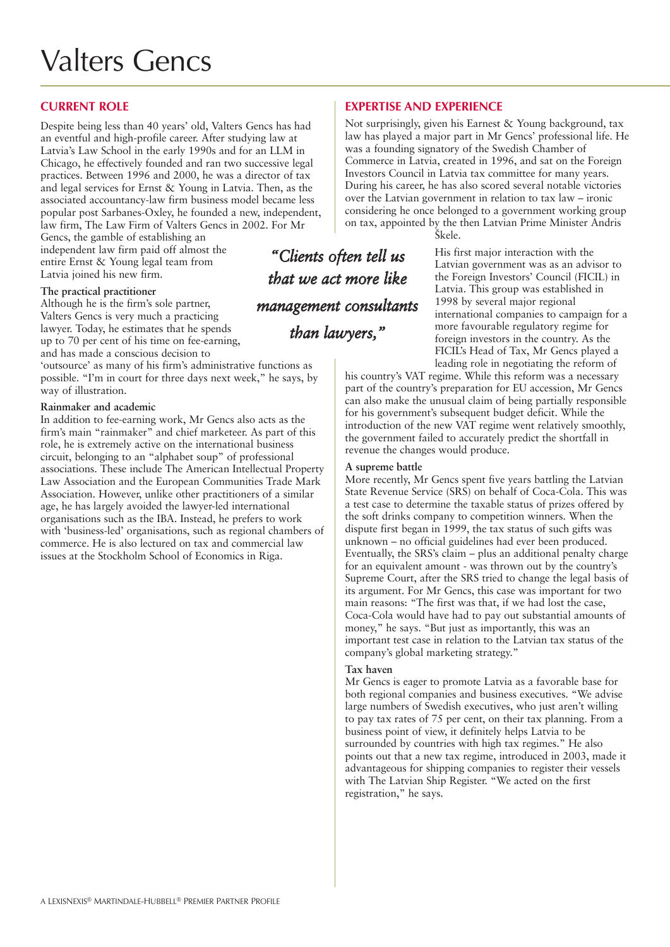# <span id="page-1-0"></span>**CURRENT ROLE**

Despite being less than 40 years' old, Valters Gencs has had an eventful and high-profile career. After studying law at Latvia's Law School in the early 1990s and for an LLM in Chicago, he effectively founded and ran two successive legal practices. Between 1996 and 2000, he was a director of tax and legal services for Ernst & Young in Latvia. Then, as the associated accountancy-law firm business model became less popular post Sarbanes-Oxley, he founded a new, independent, law firm, The Law Firm of Valters Gencs in 2002. For Mr

Gencs, the gamble of establishing an independent law firm paid off almost the entire Ernst & Young legal team from Latvia joined his new firm.

#### **The practical practitioner**

Although he is the firm's sole partner, Valters Gencs is very much a practicing lawyer. Today, he estimates that he spends up to 70 per cent of his time on fee-earning, and has made a conscious decision to

'outsource' as many of his firm's administrative functions as possible. "I'm in court for three days next week," he says, by way of illustration.

#### **Rainmaker and academic**

In addition to fee-earning work, Mr Gencs also acts as the firm's main "rainmaker" and chief marketeer. As part of this role, he is extremely active on the international business circuit, belonging to an "alphabet soup" of professional associations. These include The American Intellectual Property Law Association and the European Communities Trade Mark Association. However, unlike other practitioners of a similar age, he has largely avoided the lawyer-led international organisations such as the IBA. Instead, he prefers to work with 'business-led' organisations, such as regional chambers of commerce. He is also lectured on tax and commercial law issues at the Stockholm School of Economics in Riga.

*"Clients often tell us that we act more like management consultants than lawyers,"*

## **EXPERTISE AND EXPERIENCE**

Not surprisingly, given his Earnest & Young background, tax law has played a major part in Mr Gencs' professional life. He was a founding signatory of the Swedish Chamber of Commerce in Latvia, created in 1996, and sat on the Foreign Investors Council in Latvia tax committee for many years. During his career, he has also scored several notable victories over the Latvian government in relation to tax law – ironic considering he once belonged to a government working group on tax, appointed by the then Latvian Prime Minister Andris Škele.

His first major interaction with the Latvian government was as an advisor to the Foreign Investors' Council (FICIL) in Latvia. This group was established in 1998 by several major regional international companies to campaign for a more favourable regulatory regime for foreign investors in the country. As the FICIL's Head of Tax, Mr Gencs played a leading role in negotiating the reform of

his country's VAT regime. While this reform was a necessary part of the country's preparation for EU accession, Mr Gencs can also make the unusual claim of being partially responsible for his government's subsequent budget deficit. While the introduction of the new VAT regime went relatively smoothly, the government failed to accurately predict the shortfall in revenue the changes would produce.

#### **A supreme battle**

More recently, Mr Gencs spent five years battling the Latvian State Revenue Service (SRS) on behalf of Coca-Cola. This was a test case to determine the taxable status of prizes offered by the soft drinks company to competition winners. When the dispute first began in 1999, the tax status of such gifts was unknown – no official guidelines had ever been produced. Eventually, the SRS's claim – plus an additional penalty charge for an equivalent amount - was thrown out by the country's Supreme Court, after the SRS tried to change the legal basis of its argument. For Mr Gencs, this case was important for two main reasons: "The first was that, if we had lost the case, Coca-Cola would have had to pay out substantial amounts of money," he says. "But just as importantly, this was an important test case in relation to the Latvian tax status of the company's global marketing strategy."

#### **Tax haven**

Mr Gencs is eager to promote Latvia as a favorable base for both regional companies and business executives. "We advise large numbers of Swedish executives, who just aren't willing to pay tax rates of 75 per cent, on their tax planning. From a business point of view, it definitely helps Latvia to be surrounded by countries with high tax regimes." He also points out that a new tax regime, introduced in 2003, made it advantageous for shipping companies to register their vessels with The Latvian Ship Register. "We acted on the first registration," he says.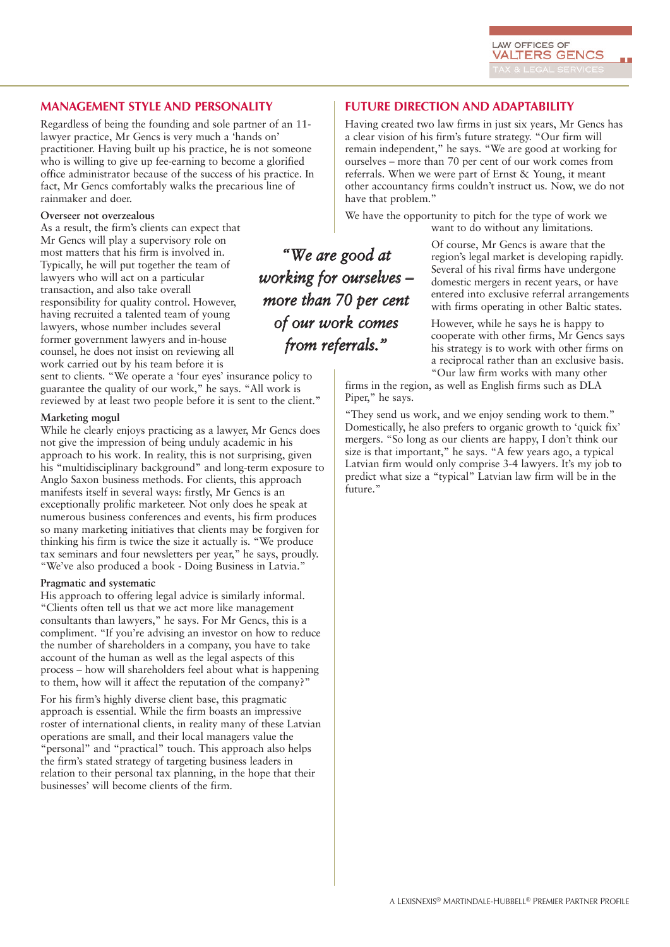#### <span id="page-2-0"></span>**MANAGEMENT STYLE AND PERSONALITY**

Regardless of being the founding and sole partner of an 11 lawyer practice, Mr Gencs is very much a 'hands on' practitioner. Having built up his practice, he is not someone who is willing to give up fee-earning to become a glorified office administrator because of the success of his practice. In fact, Mr Gencs comfortably walks the precarious line of rainmaker and doer.

#### **Overseer not overzealous**

As a result, the firm's clients can expect that Mr Gencs will play a supervisory role on most matters that his firm is involved in. Typically, he will put together the team of lawyers who will act on a particular transaction, and also take overall responsibility for quality control. However, having recruited a talented team of young lawyers, whose number includes several former government lawyers and in-house counsel, he does not insist on reviewing all work carried out by his team before it is

sent to clients. "We operate a 'four eyes' insurance policy to guarantee the quality of our work," he says. "All work is reviewed by at least two people before it is sent to the client."

#### **Marketing mogul**

While he clearly enjoys practicing as a lawyer, Mr Gencs does not give the impression of being unduly academic in his approach to his work. In reality, this is not surprising, given his "multidisciplinary background" and long-term exposure to Anglo Saxon business methods. For clients, this approach manifests itself in several ways: firstly, Mr Gencs is an exceptionally prolific marketeer. Not only does he speak at numerous business conferences and events, his firm produces so many marketing initiatives that clients may be forgiven for thinking his firm is twice the size it actually is. "We produce tax seminars and four newsletters per year," he says, proudly. "We've also produced a book - Doing Business in Latvia."

#### **Pragmatic and systematic**

His approach to offering legal advice is similarly informal. "Clients often tell us that we act more like management consultants than lawyers," he says. For Mr Gencs, this is a compliment. "If you're advising an investor on how to reduce the number of shareholders in a company, you have to take account of the human as well as the legal aspects of this process – how will shareholders feel about what is happening to them, how will it affect the reputation of the company?"

For his firm's highly diverse client base, this pragmatic approach is essential. While the firm boasts an impressive roster of international clients, in reality many of these Latvian operations are small, and their local managers value the "personal" and "practical" touch. This approach also helps the firm's stated strategy of targeting business leaders in relation to their personal tax planning, in the hope that their businesses' will become clients of the firm.

## **FUTURE DIRECTION AND ADAPTABILITY**

Having created two law firms in just six years, Mr Gencs has a clear vision of his firm's future strategy. "Our firm will remain independent," he says. "We are good at working for ourselves – more than 70 per cent of our work comes from referrals. When we were part of Ernst & Young, it meant other accountancy firms couldn't instruct us. Now, we do not have that problem."

We have the opportunity to pitch for the type of work we want to do without any limitations.

*"We are good at working for ourselves – more than 70 per cent of our work comes from referrals."*

Of course, Mr Gencs is aware that the region's legal market is developing rapidly. Several of his rival firms have undergone domestic mergers in recent years, or have entered into exclusive referral arrangements with firms operating in other Baltic states.

However, while he says he is happy to cooperate with other firms, Mr Gencs says his strategy is to work with other firms on a reciprocal rather than an exclusive basis. "Our law firm works with many other

firms in the region, as well as English firms such as DLA Piper," he says.

"They send us work, and we enjoy sending work to them." Domestically, he also prefers to organic growth to 'quick fix' mergers. "So long as our clients are happy, I don't think our size is that important," he says. "A few years ago, a typical Latvian firm would only comprise 3-4 lawyers. It's my job to predict what size a "typical" Latvian law firm will be in the future."